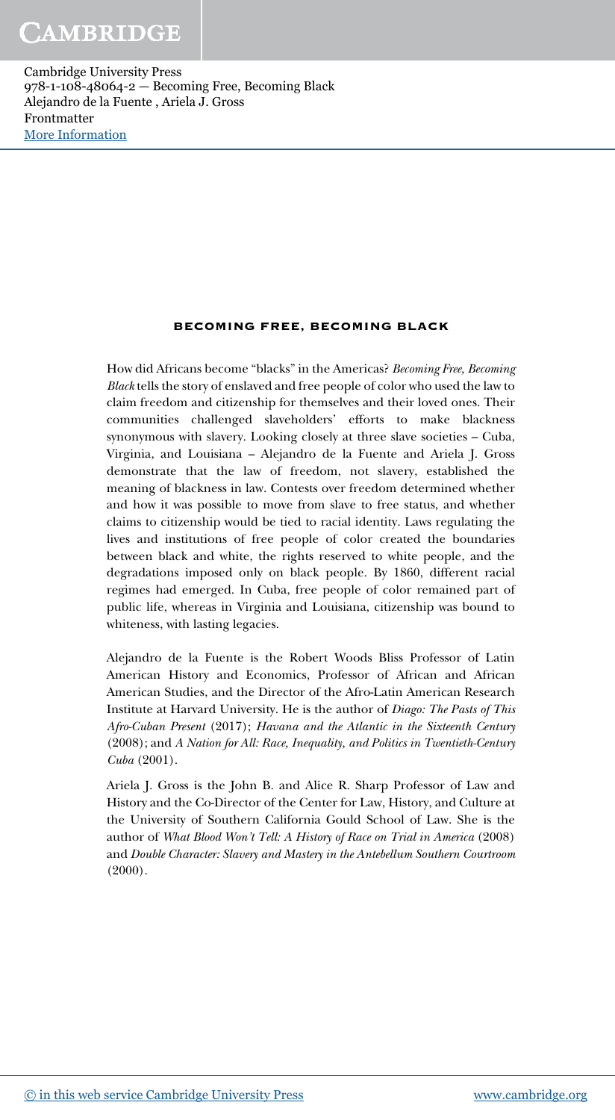### BECOMING FREE, BECOMING BLACK

How did Africans become "blacks" in the Americas? Becoming Free, Becoming Black tells the story of enslaved and free people of color who used the law to claim freedom and citizenship for themselves and their loved ones. Their communities challenged slaveholders' efforts to make blackness synonymous with slavery. Looking closely at three slave societies – Cuba, Virginia, and Louisiana – Alejandro de la Fuente and Ariela J. Gross demonstrate that the law of freedom, not slavery, established the meaning of blackness in law. Contests over freedom determined whether and how it was possible to move from slave to free status, and whether claims to citizenship would be tied to racial identity. Laws regulating the lives and institutions of free people of color created the boundaries between black and white, the rights reserved to white people, and the degradations imposed only on black people. By 1860, different racial regimes had emerged. In Cuba, free people of color remained part of public life, whereas in Virginia and Louisiana, citizenship was bound to whiteness, with lasting legacies.

Alejandro de la Fuente is the Robert Woods Bliss Professor of Latin American History and Economics, Professor of African and African American Studies, and the Director of the Afro-Latin American Research Institute at Harvard University. He is the author of Diago: The Pasts of This Afro-Cuban Present (2017); Havana and the Atlantic in the Sixteenth Century (2008); and A Nation for All: Race, Inequality, and Politics in Twentieth-Century Cuba (2001).

Ariela J. Gross is the John B. and Alice R. Sharp Professor of Law and History and the Co-Director of the Center for Law, History, and Culture at the University of Southern California Gould School of Law. She is the author of What Blood Won't Tell: A History of Race on Trial in America (2008) and Double Character: Slavery and Mastery in the Antebellum Southern Courtroom (2000).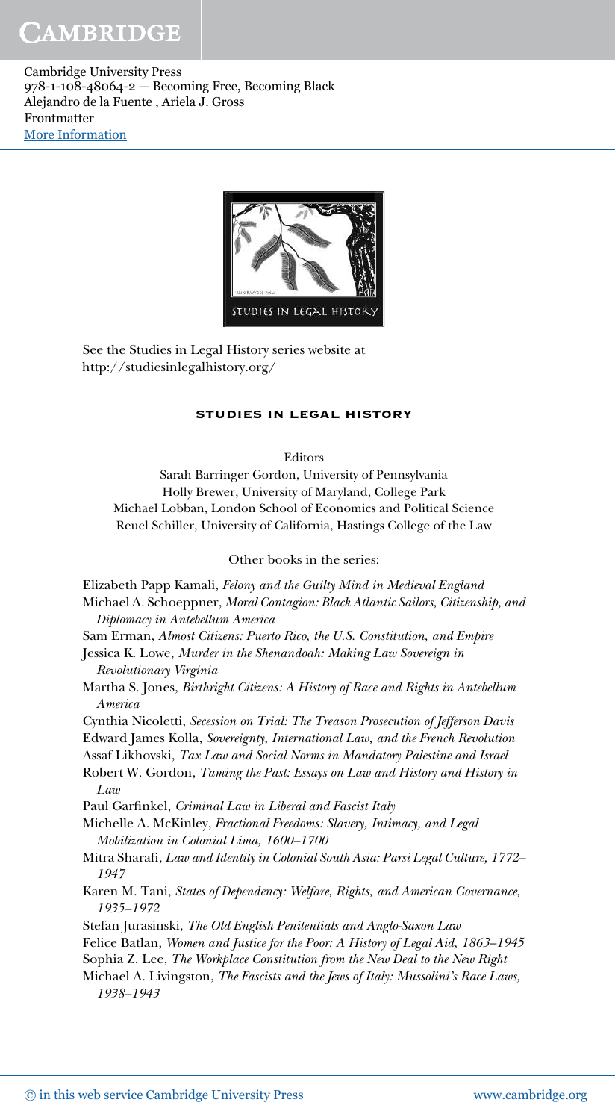# CAMBRIDGE

Cambridge University Press 978-1-108-48064-2 — Becoming Free, Becoming Black Alejandro de la Fuente , Ariela J. Gross Frontmatter [More Information](www.cambridge.org/9781108480642)



See the Studies in Legal History series website at http://studiesinlegalhistory.org/

### STUDIES IN LEGAL HISTORY

### Editors

Sarah Barringer Gordon, University of Pennsylvania Holly Brewer, University of Maryland, College Park Michael Lobban, London School of Economics and Political Science Reuel Schiller, University of California, Hastings College of the Law

### Other books in the series:

Elizabeth Papp Kamali, Felony and the Guilty Mind in Medieval England Michael A. Schoeppner, Moral Contagion: Black Atlantic Sailors, Citizenship, and Diplomacy in Antebellum America Sam Erman, Almost Citizens: Puerto Rico, the U.S. Constitution, and Empire Jessica K. Lowe, Murder in the Shenandoah: Making Law Sovereign in Revolutionary Virginia Martha S. Jones, Birthright Citizens: A History of Race and Rights in Antebellum America Cynthia Nicoletti, Secession on Trial: The Treason Prosecution of Jefferson Davis Edward James Kolla, Sovereignty, International Law, and the French Revolution Assaf Likhovski, Tax Law and Social Norms in Mandatory Palestine and Israel Robert W. Gordon, Taming the Past: Essays on Law and History and History in Law Paul Garfinkel, Criminal Law in Liberal and Fascist Italy Michelle A. McKinley, Fractional Freedoms: Slavery, Intimacy, and Legal Mobilization in Colonial Lima, 1600–1700 Mitra Sharafi, Law and Identity in Colonial South Asia: Parsi Legal Culture, 1772– 1947 Karen M. Tani, States of Dependency: Welfare, Rights, and American Governance, 1935–1972 Stefan Jurasinski, The Old English Penitentials and Anglo-Saxon Law Felice Batlan, Women and Justice for the Poor: A History of Legal Aid, 1863–1945 Sophia Z. Lee, The Workplace Constitution from the New Deal to the New Right Michael A. Livingston, The Fascists and the Jews of Italy: Mussolini's Race Laws, 1938–1943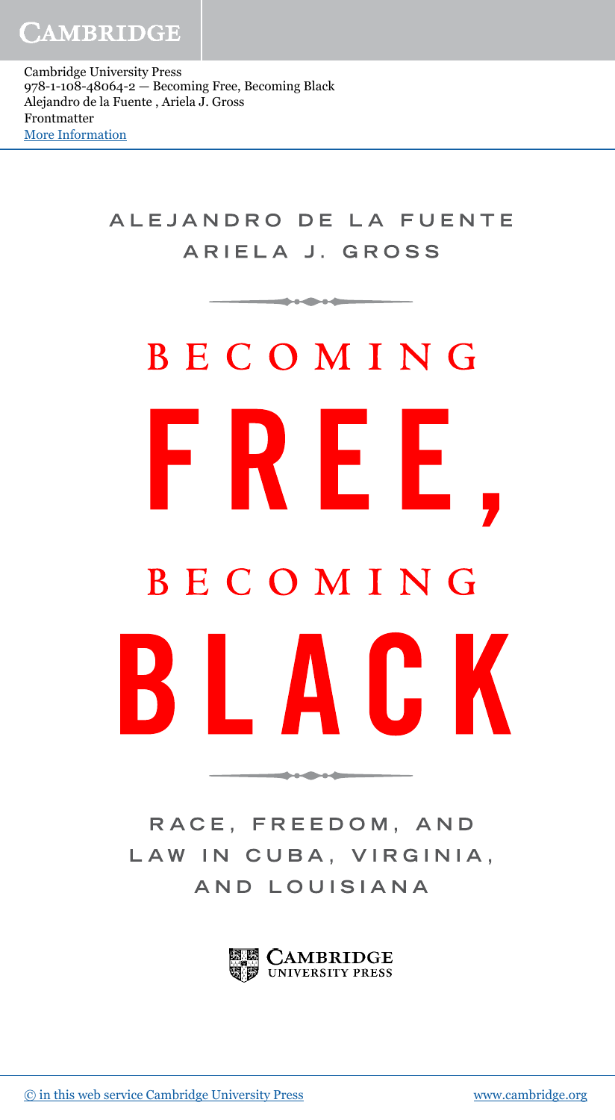> ALEJANDRO DE LA FUENTE ARIELA J. GROSS

> > *<u>B-1-10-1-10</u>*

# BECOMING ₹┣┣ BECOMING **CK**

RACE, FREEDOM, AND LAW IN CUBA, VIRGINIA, AND LOUISIANA

\*\*\*\*



[© in this web service Cambridge University Press](www.cambridge.org) www.cambridge.org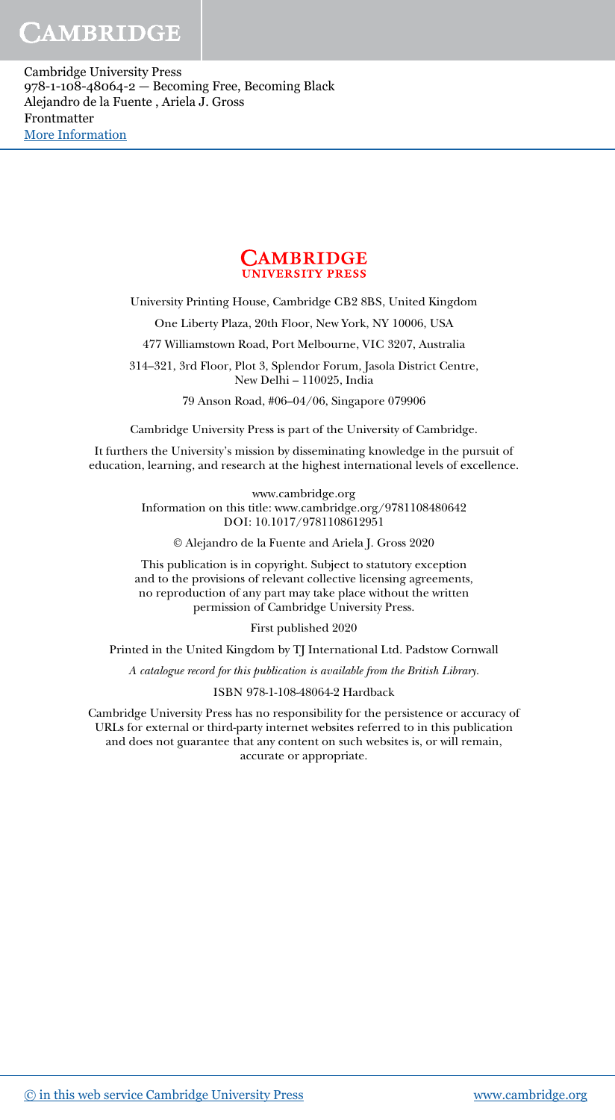CAMBRIDGE

Cambridge University Press 978-1-108-48064-2 — Becoming Free, Becoming Black Alejandro de la Fuente , Ariela J. Gross Frontmatter [More Information](www.cambridge.org/9781108480642)

### **CAMBRIDGE UNIVERSITY PRESS**

University Printing House, Cambridge CB2 8BS, United Kingdom

One Liberty Plaza, 20th Floor, New York, NY 10006, USA

477 Williamstown Road, Port Melbourne, VIC 3207, Australia

314–321, 3rd Floor, Plot 3, Splendor Forum, Jasola District Centre, New Delhi – 110025, India

79 Anson Road, #06–04/06, Singapore 079906

Cambridge University Press is part of the University of Cambridge.

It furthers the University's mission by disseminating knowledge in the pursuit of education, learning, and research at the highest international levels of excellence.

> www.cambridge.org Information on this title: www.cambridge.org/9781108480642 DOI: 10.1017/9781108612951

> > © Alejandro de la Fuente and Ariela J. Gross 2020

This publication is in copyright. Subject to statutory exception and to the provisions of relevant collective licensing agreements, no reproduction of any part may take place without the written permission of Cambridge University Press.

First published 2020

Printed in the United Kingdom by TJ International Ltd. Padstow Cornwall

A catalogue record for this publication is available from the British Library.

ISBN 978-1-108-48064-2 Hardback

Cambridge University Press has no responsibility for the persistence or accuracy of URLs for external or third-party internet websites referred to in this publication and does not guarantee that any content on such websites is, or will remain, accurate or appropriate.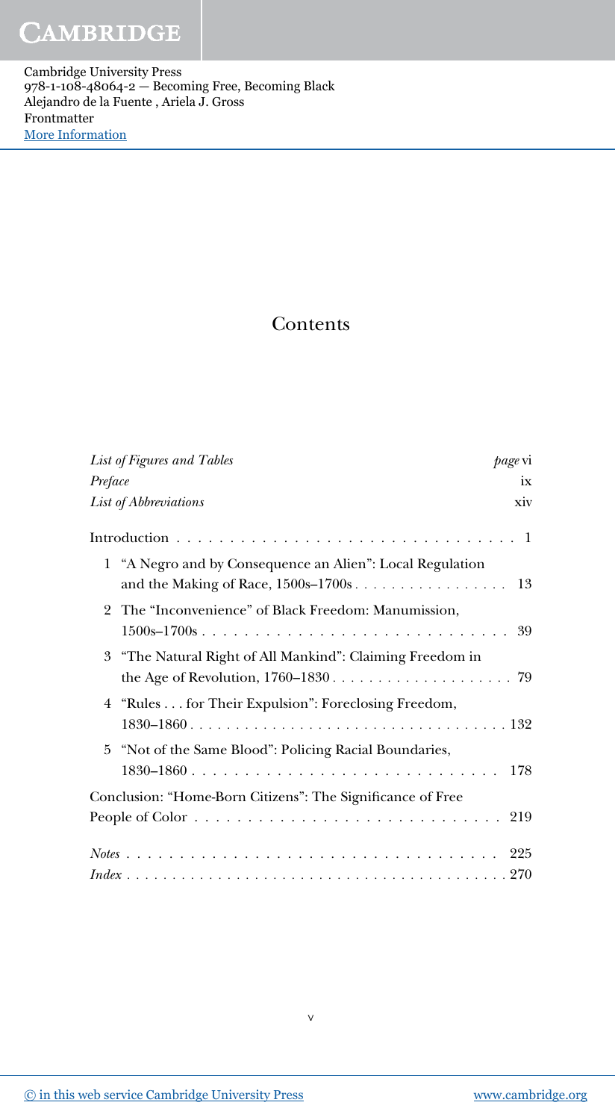## Contents

| List of Figures and Tables<br>page vi<br>Preface<br>List of Abbreviations | ix<br>xiv |
|---------------------------------------------------------------------------|-----------|
|                                                                           |           |
| 1 "A Negro and by Consequence an Alien": Local Regulation                 |           |
| 2 The "Inconvenience" of Black Freedom: Manumission,                      |           |
| 3 "The Natural Right of All Mankind": Claiming Freedom in                 |           |
| 4 "Rules for Their Expulsion": Foreclosing Freedom,                       |           |
| 5 "Not of the Same Blood": Policing Racial Boundaries,                    |           |
| Conclusion: "Home-Born Citizens": The Significance of Free                |           |
|                                                                           |           |
|                                                                           |           |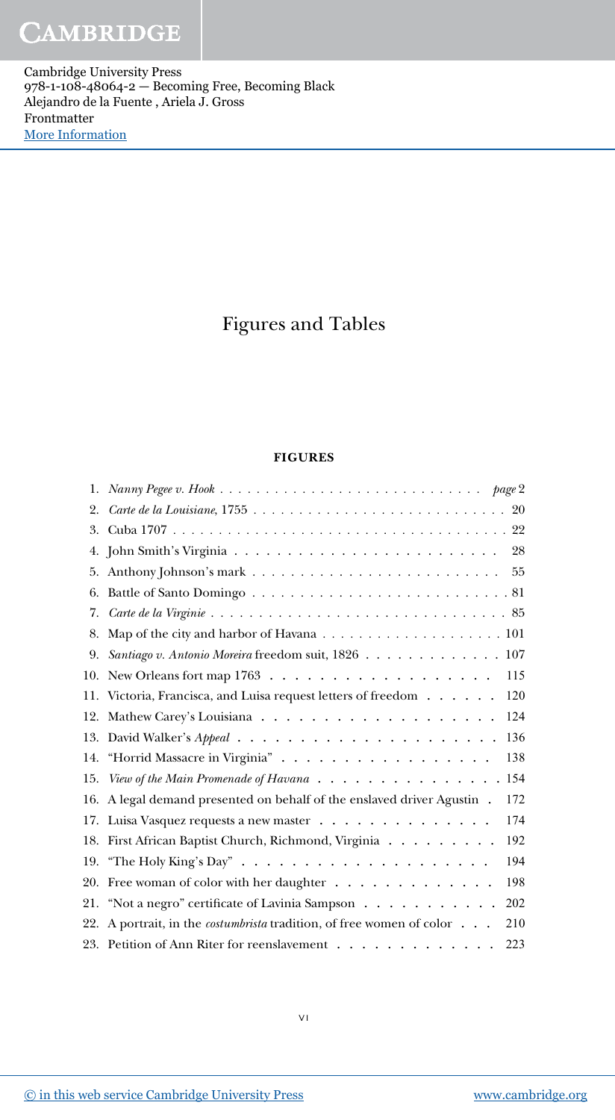# Figures and Tables

### FIGURES

| 1.  |                                                                                   |     |
|-----|-----------------------------------------------------------------------------------|-----|
| 2.  |                                                                                   |     |
| 3.  |                                                                                   |     |
| 4.  |                                                                                   |     |
| 5.  |                                                                                   |     |
| 6.  |                                                                                   |     |
| 7.  |                                                                                   |     |
| 8.  |                                                                                   |     |
| 9.  | Santiago v. Antonio Moreira freedom suit, 1826 107                                |     |
| 10. |                                                                                   | 115 |
|     | 11. Victoria, Francisca, and Luisa request letters of freedom                     | 120 |
| 12. |                                                                                   | 124 |
| 13. |                                                                                   | 136 |
| 14. | "Horrid Massacre in Virginia"                                                     | 138 |
| 15. | View of the Main Promenade of Havana $\ldots$ ,                                   | 154 |
| 16. | A legal demand presented on behalf of the enslaved driver Agustin .               | 172 |
|     | 17. Luisa Vasquez requests a new master                                           | 174 |
|     | 18. First African Baptist Church, Richmond, Virginia                              | 192 |
| 19. |                                                                                   | 194 |
| 20. | Free woman of color with her daughter $\dots$                                     | 198 |
| 21. | "Not a negro" certificate of Lavinia Sampson                                      | 202 |
| 22. | A portrait, in the <i>costumbrista</i> tradition, of free women of color $\ldots$ | 210 |
|     | 23. Petition of Ann Riter for reenslavement                                       | 223 |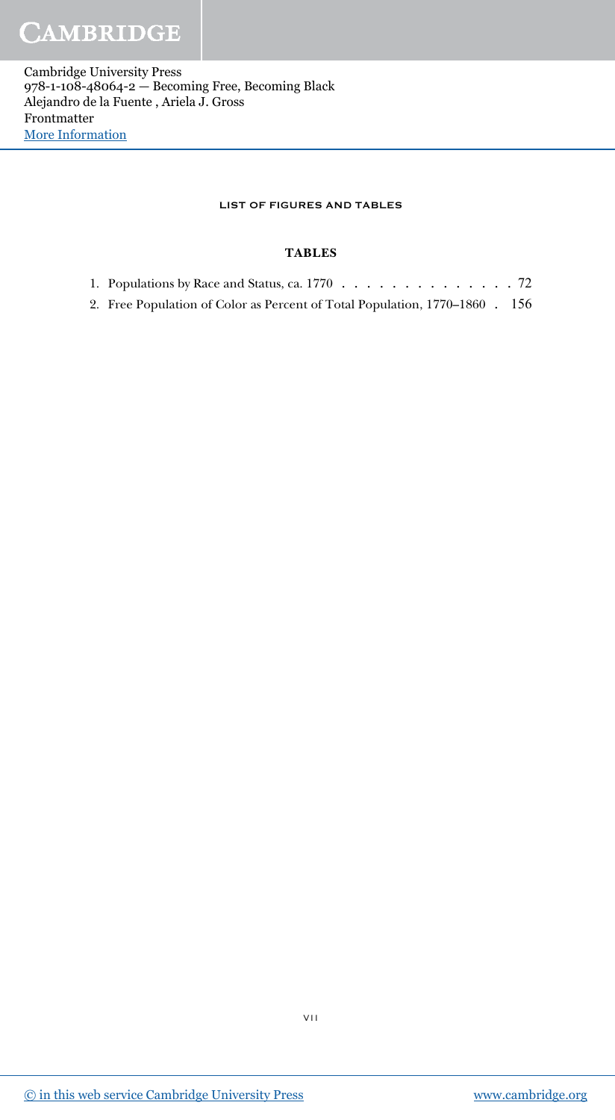### LIST OF FIGURES AND TABLES

### TABLES

| 1. Populations by Race and Status, ca. 1770 $\ldots \ldots \ldots \ldots \ldots \ldots$ |  |
|-----------------------------------------------------------------------------------------|--|
| 2. Free Population of Color as Percent of Total Population, 1770–1860 . 156             |  |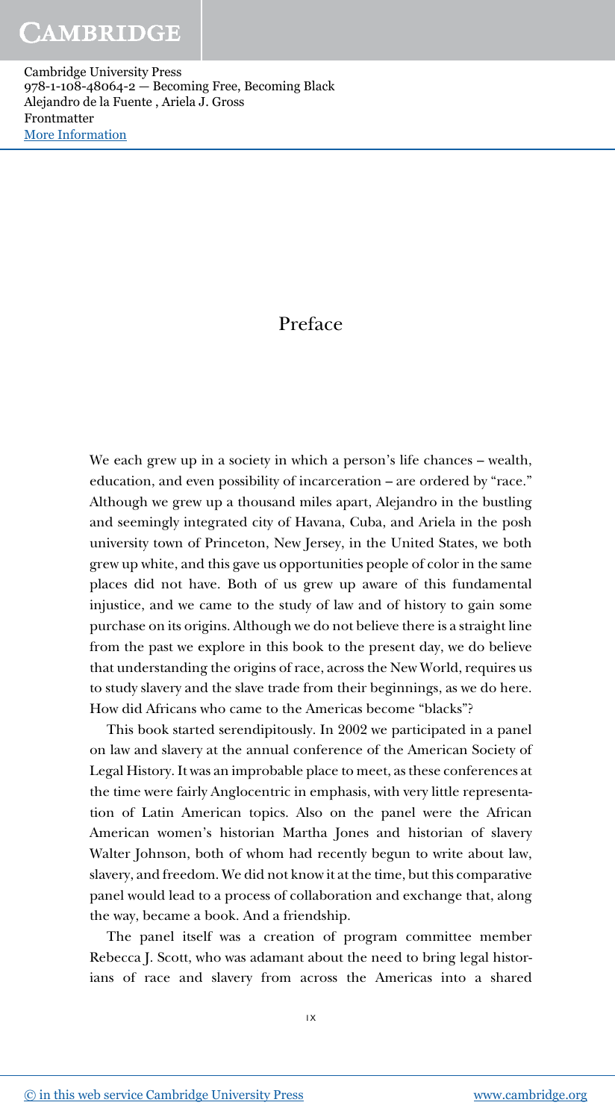# Preface

We each grew up in a society in which a person's life chances – wealth, education, and even possibility of incarceration – are ordered by "race." Although we grew up a thousand miles apart, Alejandro in the bustling and seemingly integrated city of Havana, Cuba, and Ariela in the posh university town of Princeton, New Jersey, in the United States, we both grew up white, and this gave us opportunities people of color in the same places did not have. Both of us grew up aware of this fundamental injustice, and we came to the study of law and of history to gain some purchase on its origins. Although we do not believe there is a straight line from the past we explore in this book to the present day, we do believe that understanding the origins of race, across the New World, requires us to study slavery and the slave trade from their beginnings, as we do here. How did Africans who came to the Americas become "blacks"?

This book started serendipitously. In 2002 we participated in a panel on law and slavery at the annual conference of the American Society of Legal History. It was an improbable place to meet, as these conferences at the time were fairly Anglocentric in emphasis, with very little representation of Latin American topics. Also on the panel were the African American women's historian Martha Jones and historian of slavery Walter Johnson, both of whom had recently begun to write about law, slavery, and freedom. We did not know it at the time, but this comparative panel would lead to a process of collaboration and exchange that, along the way, became a book. And a friendship.

The panel itself was a creation of program committee member Rebecca J. Scott, who was adamant about the need to bring legal historians of race and slavery from across the Americas into a shared

ix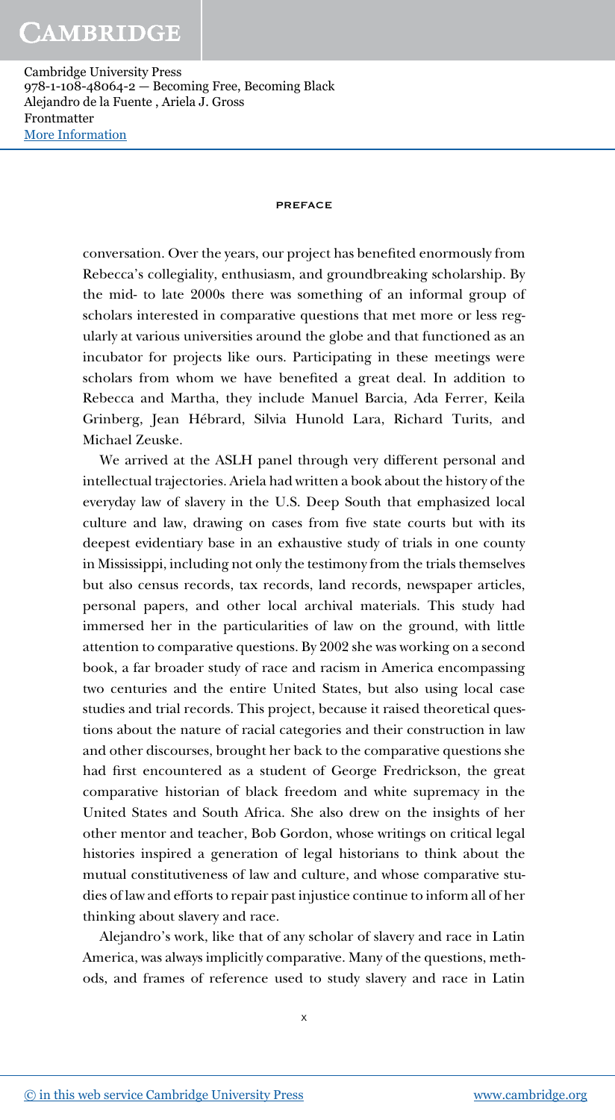### PREFACE

conversation. Over the years, our project has benefited enormously from Rebecca's collegiality, enthusiasm, and groundbreaking scholarship. By the mid- to late 2000s there was something of an informal group of scholars interested in comparative questions that met more or less regularly at various universities around the globe and that functioned as an incubator for projects like ours. Participating in these meetings were scholars from whom we have benefited a great deal. In addition to Rebecca and Martha, they include Manuel Barcia, Ada Ferrer, Keila Grinberg, Jean Hébrard, Silvia Hunold Lara, Richard Turits, and Michael Zeuske.

We arrived at the ASLH panel through very different personal and intellectual trajectories. Ariela had written a book about the history of the everyday law of slavery in the U.S. Deep South that emphasized local culture and law, drawing on cases from five state courts but with its deepest evidentiary base in an exhaustive study of trials in one county in Mississippi, including not only the testimony from the trials themselves but also census records, tax records, land records, newspaper articles, personal papers, and other local archival materials. This study had immersed her in the particularities of law on the ground, with little attention to comparative questions. By 2002 she was working on a second book, a far broader study of race and racism in America encompassing two centuries and the entire United States, but also using local case studies and trial records. This project, because it raised theoretical questions about the nature of racial categories and their construction in law and other discourses, brought her back to the comparative questions she had first encountered as a student of George Fredrickson, the great comparative historian of black freedom and white supremacy in the United States and South Africa. She also drew on the insights of her other mentor and teacher, Bob Gordon, whose writings on critical legal histories inspired a generation of legal historians to think about the mutual constitutiveness of law and culture, and whose comparative studies of law and efforts to repair past injustice continue to inform all of her thinking about slavery and race.

Alejandro's work, like that of any scholar of slavery and race in Latin America, was always implicitly comparative. Many of the questions, methods, and frames of reference used to study slavery and race in Latin

x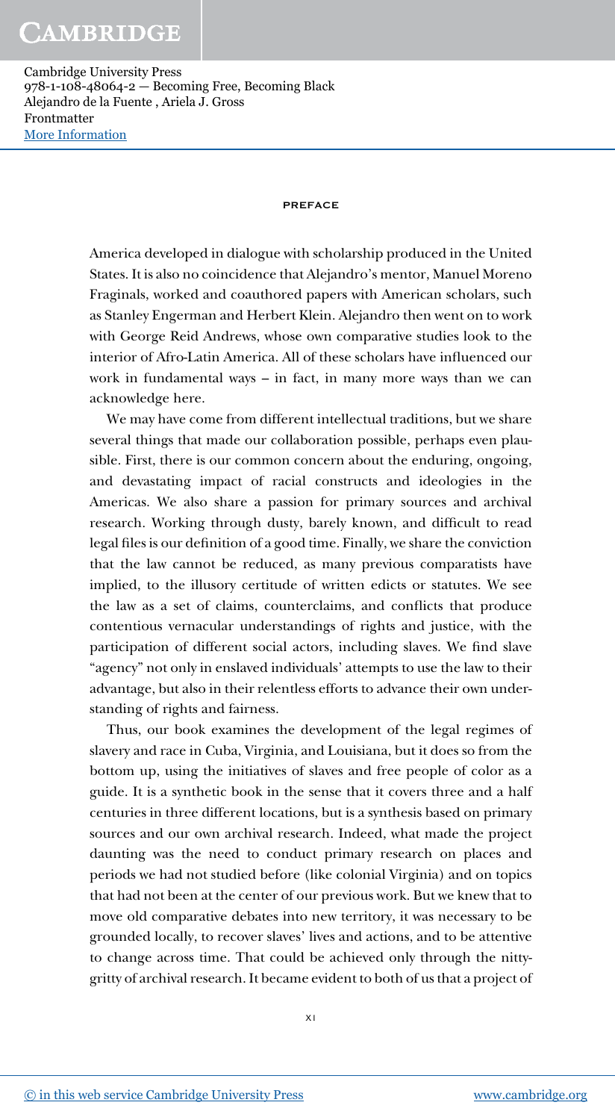### PREFACE

America developed in dialogue with scholarship produced in the United States. It is also no coincidence that Alejandro's mentor, Manuel Moreno Fraginals, worked and coauthored papers with American scholars, such as Stanley Engerman and Herbert Klein. Alejandro then went on to work with George Reid Andrews, whose own comparative studies look to the interior of Afro-Latin America. All of these scholars have influenced our work in fundamental ways – in fact, in many more ways than we can acknowledge here.

We may have come from different intellectual traditions, but we share several things that made our collaboration possible, perhaps even plausible. First, there is our common concern about the enduring, ongoing, and devastating impact of racial constructs and ideologies in the Americas. We also share a passion for primary sources and archival research. Working through dusty, barely known, and difficult to read legal files is our definition of a good time. Finally, we share the conviction that the law cannot be reduced, as many previous comparatists have implied, to the illusory certitude of written edicts or statutes. We see the law as a set of claims, counterclaims, and conflicts that produce contentious vernacular understandings of rights and justice, with the participation of different social actors, including slaves. We find slave "agency" not only in enslaved individuals' attempts to use the law to their advantage, but also in their relentless efforts to advance their own understanding of rights and fairness.

Thus, our book examines the development of the legal regimes of slavery and race in Cuba, Virginia, and Louisiana, but it does so from the bottom up, using the initiatives of slaves and free people of color as a guide. It is a synthetic book in the sense that it covers three and a half centuries in three different locations, but is a synthesis based on primary sources and our own archival research. Indeed, what made the project daunting was the need to conduct primary research on places and periods we had not studied before (like colonial Virginia) and on topics that had not been at the center of our previous work. But we knew that to move old comparative debates into new territory, it was necessary to be grounded locally, to recover slaves' lives and actions, and to be attentive to change across time. That could be achieved only through the nittygritty of archival research. It became evident to both of us that a project of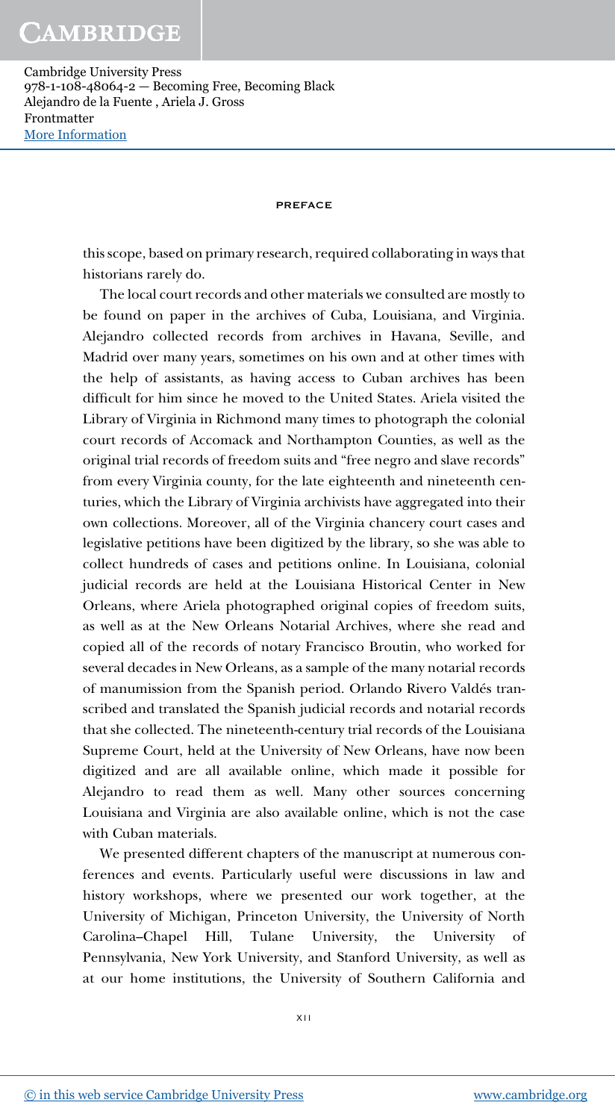### PREFACE

this scope, based on primary research, required collaborating in ways that historians rarely do.

The local court records and other materials we consulted are mostly to be found on paper in the archives of Cuba, Louisiana, and Virginia. Alejandro collected records from archives in Havana, Seville, and Madrid over many years, sometimes on his own and at other times with the help of assistants, as having access to Cuban archives has been difficult for him since he moved to the United States. Ariela visited the Library of Virginia in Richmond many times to photograph the colonial court records of Accomack and Northampton Counties, as well as the original trial records of freedom suits and "free negro and slave records" from every Virginia county, for the late eighteenth and nineteenth centuries, which the Library of Virginia archivists have aggregated into their own collections. Moreover, all of the Virginia chancery court cases and legislative petitions have been digitized by the library, so she was able to collect hundreds of cases and petitions online. In Louisiana, colonial judicial records are held at the Louisiana Historical Center in New Orleans, where Ariela photographed original copies of freedom suits, as well as at the New Orleans Notarial Archives, where she read and copied all of the records of notary Francisco Broutin, who worked for several decades in New Orleans, as a sample of the many notarial records of manumission from the Spanish period. Orlando Rivero Valdés transcribed and translated the Spanish judicial records and notarial records that she collected. The nineteenth-century trial records of the Louisiana Supreme Court, held at the University of New Orleans, have now been digitized and are all available online, which made it possible for Alejandro to read them as well. Many other sources concerning Louisiana and Virginia are also available online, which is not the case with Cuban materials.

We presented different chapters of the manuscript at numerous conferences and events. Particularly useful were discussions in law and history workshops, where we presented our work together, at the University of Michigan, Princeton University, the University of North Carolina–Chapel Hill, Tulane University, the University of Pennsylvania, New York University, and Stanford University, as well as at our home institutions, the University of Southern California and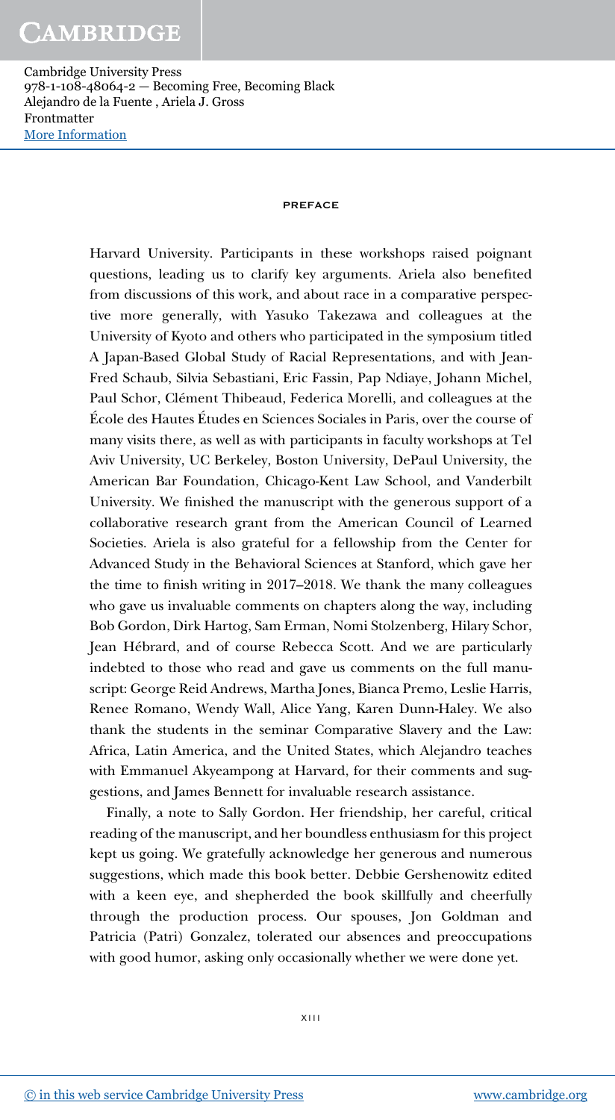### PREFACE

Harvard University. Participants in these workshops raised poignant questions, leading us to clarify key arguments. Ariela also benefited from discussions of this work, and about race in a comparative perspective more generally, with Yasuko Takezawa and colleagues at the University of Kyoto and others who participated in the symposium titled A Japan-Based Global Study of Racial Representations, and with Jean-Fred Schaub, Silvia Sebastiani, Eric Fassin, Pap Ndiaye, Johann Michel, Paul Schor, Clément Thibeaud, Federica Morelli, and colleagues at the École des Hautes Études en Sciences Sociales in Paris, over the course of many visits there, as well as with participants in faculty workshops at Tel Aviv University, UC Berkeley, Boston University, DePaul University, the American Bar Foundation, Chicago-Kent Law School, and Vanderbilt University. We finished the manuscript with the generous support of a collaborative research grant from the American Council of Learned Societies. Ariela is also grateful for a fellowship from the Center for Advanced Study in the Behavioral Sciences at Stanford, which gave her the time to finish writing in 2017–2018. We thank the many colleagues who gave us invaluable comments on chapters along the way, including Bob Gordon, Dirk Hartog, Sam Erman, Nomi Stolzenberg, Hilary Schor, Jean Hébrard, and of course Rebecca Scott. And we are particularly indebted to those who read and gave us comments on the full manuscript: George Reid Andrews, Martha Jones, Bianca Premo, Leslie Harris, Renee Romano, Wendy Wall, Alice Yang, Karen Dunn-Haley. We also thank the students in the seminar Comparative Slavery and the Law: Africa, Latin America, and the United States, which Alejandro teaches with Emmanuel Akyeampong at Harvard, for their comments and suggestions, and James Bennett for invaluable research assistance.

Finally, a note to Sally Gordon. Her friendship, her careful, critical reading of the manuscript, and her boundless enthusiasm for this project kept us going. We gratefully acknowledge her generous and numerous suggestions, which made this book better. Debbie Gershenowitz edited with a keen eye, and shepherded the book skillfully and cheerfully through the production process. Our spouses, Jon Goldman and Patricia (Patri) Gonzalez, tolerated our absences and preoccupations with good humor, asking only occasionally whether we were done yet.

xiii